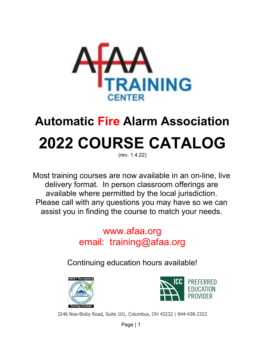

# **Automatic Fire Alarm Association 2022 COURSE CATALOG**

(rev. 1.4.22)

Most training courses are now available in an on-line, live delivery format. In person classroom offerings are available where permitted by the local jurisdiction. Please call with any questions you may have so we can assist you in finding the course to match your needs.

> [www.afaa.org](http://www.afaa.org/) email: training@afaa.org

Continuing education hours available!





3246 Noe-Bixby Road, Suite 101, Columbus, OH 43232 | 844-438-2322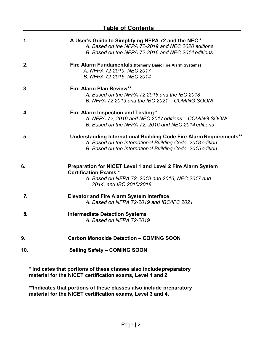| <u>Table of Contents</u> |                                                                                                                                                                                               |
|--------------------------|-----------------------------------------------------------------------------------------------------------------------------------------------------------------------------------------------|
| 1.                       | A User's Guide to Simplifying NFPA 72 and the NEC *<br>A. Based on the NFPA 72-2019 and NEC 2020 editions<br>B. Based on the NFPA 72-2016 and NEC 2014 editions                               |
| 2.                       | Fire Alarm Fundamentals (formerly Basic Fire Alarm Systems)<br>A. NFPA 72-2019, NEC 2017<br>B. NFPA 72-2016, NEC 2014                                                                         |
| 3.                       | <b>Fire Alarm Plan Review**</b><br>A. Based on the NFPA 72 2016 and the IBC 2018<br>B. NFPA 72 2019 and the IBC 2021 - COMING SOON!                                                           |
| 4.                       | Fire Alarm Inspection and Testing *<br>A. NFPA 72, 2019 and NEC 2017 editions - COMING SOON!<br>B. Based on the NFPA 72, 2016 and NEC 2014 editions                                           |
| 5.                       | Understanding International Building Code Fire Alarm Requirements**<br>A. Based on the International Building Code, 2018 edition<br>B. Based on the International Building Code, 2015 edition |
| 6.                       | <b>Preparation for NICET Level 1 and Level 2 Fire Alarm System</b><br><b>Certification Exams *</b><br>A. Based on NFPA 72, 2019 and 2016, NEC 2017 and<br>2014, and IBC 2015/2018             |
| 7.                       | <b>Elevator and Fire Alarm System Interface</b><br>A. Based on NFPA 72-2019 and IBC/IFC 2021                                                                                                  |
| 8.                       | <b>Intermediate Detection Systems</b><br>A. Based on NFPA 72-2019                                                                                                                             |
| 9.                       | <b>Carbon Monoxide Detection - COMING SOON</b>                                                                                                                                                |
| 10.                      | Selling Safety - COMING SOON                                                                                                                                                                  |

\* **Indicates that portions of these classes also includepreparatory material for the NICET certification exams, Level 1 and 2.**

**\*\*Indicates that portions of these classes also include preparatory material for the NICET certification exams, Level 3 and 4.**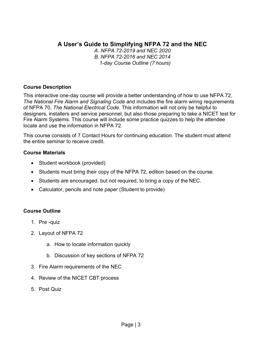# **A User's Guide to Simplifying NFPA 72 and the NEC**

*A. NFPA 72-2019 and NEC 2020 B. NFPA 72-2016 and NEC 2014 1-day Course Outline (7 hours)*

#### **Course Description**

This interactive one-day course will provide a better understanding of how to use NFPA 72, *The National Fire Alarm and Signaling Code* and includes the fire alarm wiring requirements of NFPA 70, *The National Electrical Code*. This information will not only be helpful to designers, installers and service personnel, but also those preparing to take a NICET test for Fire Alarm Systems. This course will include some practice quizzes to help the attendee locate and use the information in NFPA 72.

This course consists of 7 Contact Hours for continuing education. The student must attend the entire seminar to receive credit.

#### **Course Materials**

- Student workbook (provided)
- Students must bring their copy of the NFPA 72, edition based on the course.
- Students are encouraged, but not required, to bring a copy of the NEC.
- Calculator, pencils and note paper (Student to provide)

- 1. Pre -quiz
- 2. Layout of NFPA 72
	- a. How to locate information quickly
	- b. Discussion of key sections of NFPA 72
- 3. Fire Alarm requirements of the NEC
- 4. Review of the NICET CBT process
- 5. Post Quiz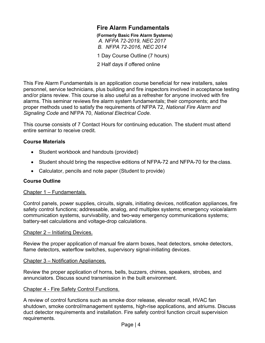## **Fire Alarm Fundamentals**

**(Formerly Basic Fire Alarm Systems)** *A. NFPA 72-2019, NEC 2017 B. NFPA 72-2016, NEC 2014*

1 Day Course Outline (7 hours)

2 Half days if offered online

This Fire Alarm Fundamentals is an application course beneficial for new installers, sales personnel, service technicians, plus building and fire inspectors involved in acceptance testing and/or plans review. This course is also useful as a refresher for anyone involved with fire alarms. This seminar reviews fire alarm system fundamentals; their components; and the proper methods used to satisfy the requirements of NFPA 72, *National Fire Alarm and Signaling Code* and NFPA 70, *National Electrical Code*.

This course consists of 7 Contact Hours for continuing education. The student must attend entire seminar to receive credit.

#### **Course Materials**

- Student workbook and handouts (provided)
- Student should bring the respective editions of NFPA-72 and NFPA-70 for the class.
- Calculator, pencils and note paper (Student to provide)

#### **Course Outline**

#### Chapter 1 – Fundamentals.

Control panels, power supplies, circuits, signals, initiating devices, notification appliances, fire safety control functions; addressable, analog, and multiplex systems; emergency voice/alarm communication systems, survivability, and two-way emergency communications systems; battery-set calculations and voltage-drop calculations.

#### Chapter 2 – Initiating Devices.

Review the proper application of manual fire alarm boxes, heat detectors, smoke detectors, flame detectors, waterflow switches, supervisory signal-initiating devices.

#### Chapter 3 – Notification Appliances.

Review the proper application of horns, bells, buzzers, chimes, speakers, strobes, and annunciators. Discuss sound transmission in the built environment.

#### Chapter 4 - Fire Safety Control Functions.

A review of control functions such as smoke door release, elevator recall, HVAC fan shutdown, smoke control/management systems, high-rise applications, and atriums. Discuss duct detector requirements and installation. Fire safety control function circuit supervision requirements.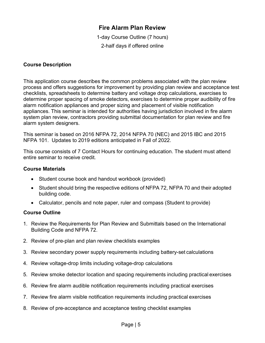# **Fire Alarm Plan Review**

1-day Course Outline (7 hours) 2-half days if offered online

#### **Course Description**

This application course describes the common problems associated with the plan review process and offers suggestions for improvement by providing plan review and acceptance test checklists, spreadsheets to determine battery and voltage drop calculations, exercises to determine proper spacing of smoke detectors, exercises to determine proper audibility of fire alarm notification appliances and proper sizing and placement of visible notification appliances. This seminar is intended for authorities having jurisdiction involved in fire alarm system plan review, contractors providing submittal documentation for plan review and fire alarm system designers.

This seminar is based on 2016 NFPA 72, 2014 NFPA 70 (NEC) and 2015 IBC and 2015 NFPA 101. Updates to 2019 editions anticipated in Fall of 2022.

This course consists of 7 Contact Hours for continuing education. The student must attend entire seminar to receive credit.

#### **Course Materials**

- Student course book and handout workbook (provided)
- Student should bring the respective editions of NFPA 72, NFPA 70 and their adopted building code.
- Calculator, pencils and note paper, ruler and compass (Student to provide)

- 1. Review the Requirements for Plan Review and Submittals based on the International Building Code and NFPA 72.
- 2. Review of pre-plan and plan review checklists examples
- 3. Review secondary power supply requirements including battery-set calculations
- 4. Review voltage-drop limits including voltage-drop calculations
- 5. Review smoke detector location and spacing requirements including practical exercises
- 6. Review fire alarm audible notification requirements including practical exercises
- 7. Review fire alarm visible notification requirements including practical exercises
- 8. Review of pre-acceptance and acceptance testing checklist examples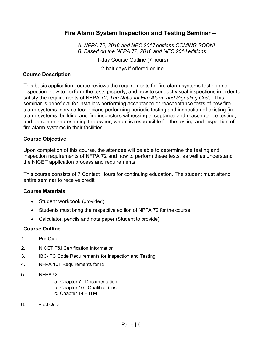## **Fire Alarm System Inspection and Testing Seminar –**

*A. NFPA 72, 2019 and NEC 2017 editions COMING SOON! B. Based on the NFPA 72, 2016 and NEC 2014 editions*

1-day Course Outline (7 hours)

2-half days if offered online

#### **Course Description**

This basic application course reviews the requirements for fire alarm systems testing and inspection; how to perform the tests properly; and how to conduct visual inspections in order to satisfy the requirements of NFPA 72, *The National Fire Alarm and Signaling Code*. This seminar is beneficial for installers performing acceptance or reacceptance tests of new fire alarm systems; service technicians performing periodic testing and inspection of existing fire alarm systems; building and fire inspectors witnessing acceptance and reacceptance testing; and personnel representing the owner, whom is responsible for the testing and inspection of fire alarm systems in their facilities.

#### **Course Objective**

Upon completion of this course, the attendee will be able to determine the testing and inspection requirements of NFPA 72 and how to perform these tests, as well as understand the NICET application process and requirements.

This course consists of 7 Contact Hours for continuing education. The student must attend entire seminar to receive credit.

#### **Course Materials**

- Student workbook (provided)
- Students must bring the respective edition of NPFA 72 for the course.
- Calculator, pencils and note paper (Student to provide)

- 1. Pre-Quiz
- 2. NICET T&I Certification Information
- 3. IBC/IFC Code Requirements for Inspection and Testing
- 4. NFPA 101 Requirements for I&T
- 5. NFPA72
	- a. Chapter 7 Documentation
	- b. Chapter 10 Qualifications
	- c. Chapter 14 ITM
- 6. Post Quiz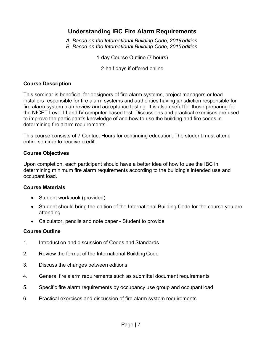## **Understanding IBC Fire Alarm Requirements**

*A. Based on the International Building Code, 2018 edition B. Based on the International Building Code, 2015 edition*

1-day Course Outline (7 hours)

2-half days if offered online

#### **Course Description**

This seminar is beneficial for designers of fire alarm systems, project managers or lead installers responsible for fire alarm systems and authorities having jurisdiction responsible for fire alarm system plan review and acceptance testing. It is also useful for those preparing for the NICET Level III and IV computer-based test. Discussions and practical exercises are used to improve the participant's knowledge of and how to use the building and fire codes in determining fire alarm requirements.

This course consists of 7 Contact Hours for continuing education. The student must attend entire seminar to receive credit.

#### **Course Objectives**

Upon completion, each participant should have a better idea of how to use the IBC in determining minimum fire alarm requirements according to the building's intended use and occupant load.

#### **Course Materials**

- Student workbook (provided)
- Student should bring the edition of the International Building Code for the course you are attending
- Calculator, pencils and note paper Student to provide

- 1. Introduction and discussion of Codes and Standards
- 2. Review the format of the International Building Code
- 3. Discuss the changes between editions
- 4. General fire alarm requirements such as submittal document requirements
- 5. Specific fire alarm requirements by occupancy use group and occupant load
- 6. Practical exercises and discussion of fire alarm system requirements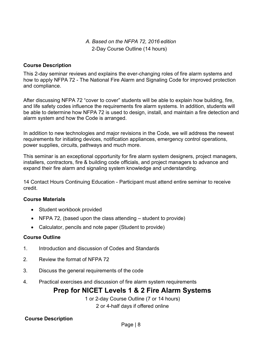## *A. Based on the NFPA 72, 2016 edition* 2-Day Course Outline (14 hours)

#### **Course Description**

This 2-day seminar reviews and explains the ever-changing roles of fire alarm systems and how to apply NFPA 72 - The National Fire Alarm and Signaling Code for improved protection and compliance.

After discussing NFPA 72 "cover to cover" students will be able to explain how building, fire, and life safety codes influence the requirements fire alarm systems. In addition, students will be able to determine how NFPA 72 is used to design, install, and maintain a fire detection and alarm system and how the Code is arranged.

In addition to new technologies and major revisions in the Code, we will address the newest requirements for initiating devices, notification appliances, emergency control operations, power supplies, circuits, pathways and much more.

This seminar is an exceptional opportunity for fire alarm system designers, project managers, installers, contractors, fire & building code officials, and project managers to advance and expand their fire alarm and signaling system knowledge and understanding.

14 Contact Hours Continuing Education - Participant must attend entire seminar to receive credit.

#### **Course Materials**

- Student workbook provided
- NFPA 72, (based upon the class attending student to provide)
- Calculator, pencils and note paper (Student to provide)

#### **Course Outline**

- 1. Introduction and discussion of Codes and Standards
- 2. Review the format of NFPA 72
- 3. Discuss the general requirements of the code
- 4. Practical exercises and discussion of fire alarm system requirements

# **Prep for NICET Levels 1 & 2 Fire Alarm Systems**

1 or 2-day Course Outline (7 or 14 hours) 2 or 4-half days if offered online

#### **Course Description**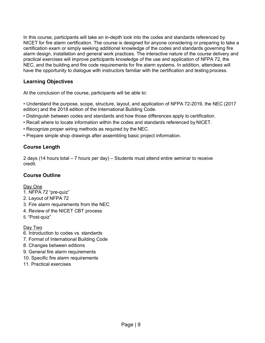In this course, participants will take an in-depth look into the codes and standards referenced by NICET for fire alarm certification. The course is designed for anyone considering or preparing to take a certification exam or simply seeking additional knowledge of the codes and standards governing fire alarm design, installation and general work practices. The interactive nature of the course delivery and practical exercises will improve participants knowledge of the use and application of NFPA 72, the NEC, and the building and fire code requirements for fire alarm systems. In addition, attendees will have the opportunity to dialogue with instructors familiar with the certification and testing process.

#### **Learning Objectives**

At the conclusion of the course, participants will be able to:

• Understand the purpose, scope, structure, layout, and application of NFPA 72-2019, the NEC (2017 edition) and the 2018 edition of the International Building Code.

- Distinguish between codes and standards and how those differences apply to certification.
- Recall where to locate information within the codes and standards referenced by NICET.
- Recognize proper wiring methods as required by the NEC.
- Prepare simple shop drawings after assembling basic project information.

#### **Course Length**

2 days (14 hours total – 7 hours per day) – Students must attend entire seminar to receive credit.

#### **Course Outline**

#### Day One

- 1. NFPA 72 "pre-quiz"
- 2. Layout of NFPA 72
- 3. Fire alarm requirements from the NEC
- 4. Review of the NICET CBT process
- 5. "Post-quiz"

#### Day Two

- 6. Introduction to codes vs. standards
- 7. Format of International Building Code
- 8. Changes between editions
- 9. General fire alarm requirements
- 10. Specific fire alarm requirements
- 11. Practical exercises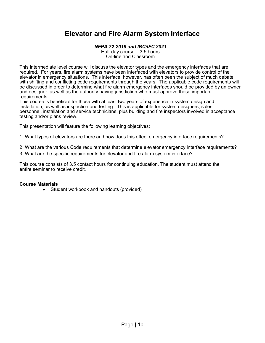# **Elevator and Fire Alarm System Interface**

#### *NFPA 72-2019 and IBC/IFC 2021*

Half-day course – 3.5 hours On-line and Classroom

This intermediate level course will discuss the elevator types and the emergency interfaces that are required. For years, fire alarm systems have been interfaced with elevators to provide control of the elevator in emergency situations. This interface, however, has often been the subject of much debate with shifting and conflicting code requirements through the years. The applicable code requirements will be discussed in order to determine what fire alarm emergency interfaces should be provided by an owner and designer, as well as the authority having jurisdiction who must approve these important requirements.

This course is beneficial for those with at least two years of experience in system design and installation, as well as inspection and testing. This is applicable for system designers, sales personnel, installation and service technicians, plus building and fire inspectors involved in acceptance testing and/or plans review.

This presentation will feature the following learning objectives:

1. What types of elevators are there and how does this effect emergency interface requirements?

2. What are the various Code requirements that determine elevator emergency interface requirements?

3. What are the specific requirements for elevator and fire alarm system interface?

This course consists of 3.5 contact hours for continuing education. The student must attend the entire seminar to receive credit.

#### **Course Materials**

• Student workbook and handouts (provided)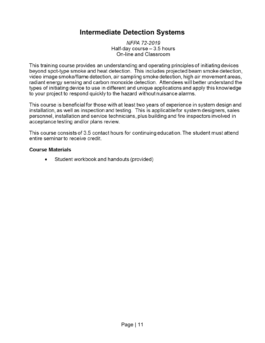# **Intermediate Detection Systems**

NFPA 72-2019 Half-day course - 3.5 hours On-line and Classroom

This training course provides an understanding and operating principles of initiating devices beyond spot-type smoke and heat detection. This includes projected beam smoke detection, video image smoke/flame detection, air sampling smoke detection, high air movement areas, radiant energy sensing and carbon monoxide detection. Attendees will better understand the types of initiating device to use in different and unique applications and apply this knowledge to your project to respond quickly to the hazard without nuisance alarms.

This course is beneficial for those with at least two years of experience in system design and installation, as well as inspection and testing. This is applicable for system designers, sales personnel, installation and service technicians, plus building and fire inspectors involved in acceptance testing and/or plans review.

This course consists of 3.5 contact hours for continuing education. The student must attend entire seminar to receive credit.

#### **Course Materials**

Student workbook and handouts (provided)  $\bullet$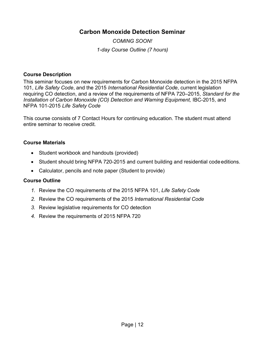# **Carbon Monoxide Detection Seminar**

*COMING SOON! 1-day Course Outline (7 hours)*

#### **Course Description**

This seminar focuses on new requirements for Carbon Monoxide detection in the 2015 NFPA 101, *Life Safety Code*, and the 2015 *International Residential Code*, current legislation requiring CO detection, and a review of the requirements of NFPA 720–2015, *Standard for the Installation of Carbon Monoxide (CO) Detection and Warning Equipment, IBC-2015, and* NFPA 101-2015 *Life Safety Code*

This course consists of 7 Contact Hours for continuing education. The student must attend entire seminar to receive credit.

#### **Course Materials**

- Student workbook and handouts (provided)
- Student should bring NFPA 720-2015 and current building and residential code editions.
- Calculator, pencils and note paper (Student to provide)

- *1.* Review the CO requirements of the 2015 NFPA 101, *Life Safety Code*
- *2.* Review the CO requirements of the 2015 *International Residential Code*
- *3.* Review legislative requirements for CO detection
- *4.* Review the requirements of 2015 NFPA 720